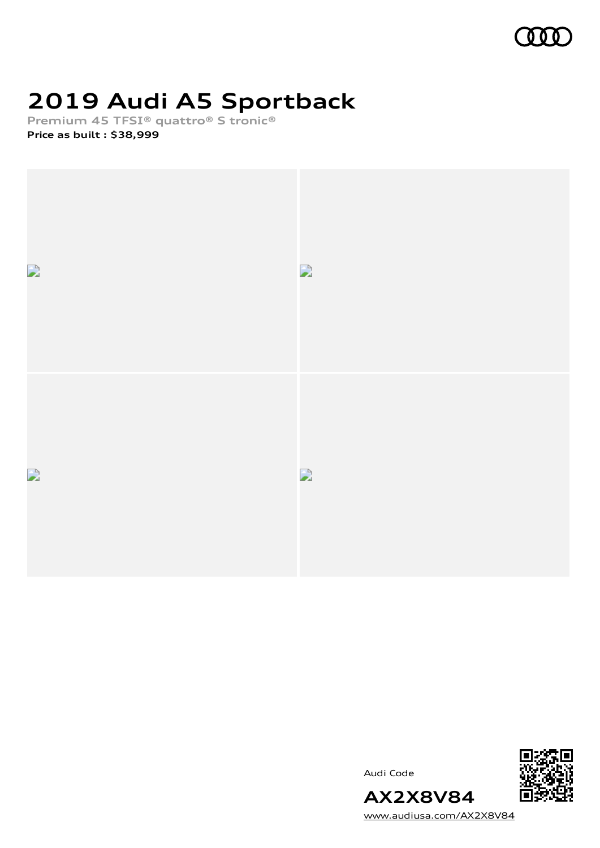

# **2019 Audi A5 Sportback**

**Premium 45 TFSI® quattro® S tronic®**

**Price as built [:](#page-10-0) \$38,999**



Audi Code



[www.audiusa.com/AX2X8V84](https://www.audiusa.com/AX2X8V84)

**AX2X8V84**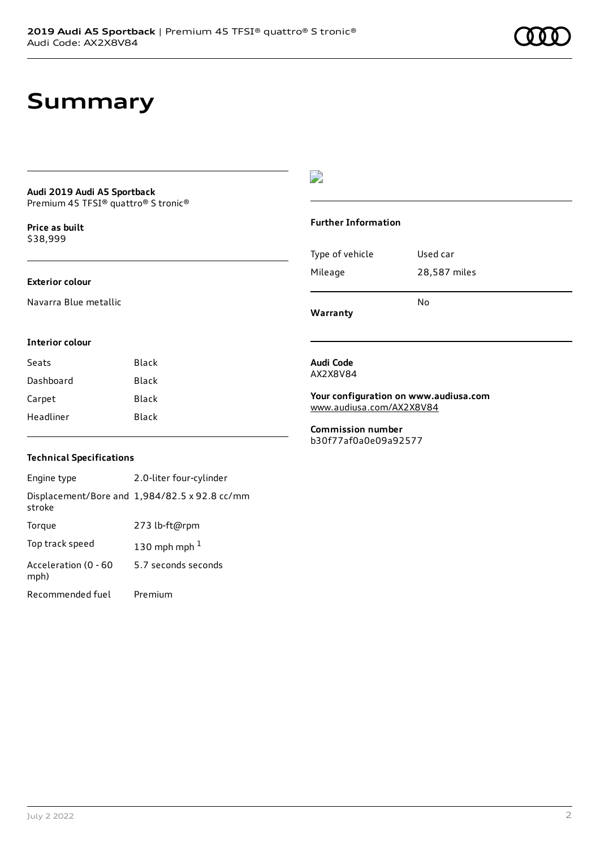### **Summary**

#### **Audi 2019 Audi A5 Sportback** Premium 45 TFSI® quattro® S tronic®

**Price as buil[t](#page-10-0)** \$38,999

#### **Exterior colour**

Navarra Blue metallic

### $\overline{\phantom{a}}$

#### **Further Information**

|                 | N٥           |
|-----------------|--------------|
| Mileage         | 28,587 miles |
| Type of vehicle | Used car     |

**Warranty**

#### **Interior colour**

| Seats     | Black |
|-----------|-------|
| Dashboard | Black |
| Carpet    | Black |
| Headliner | Black |

#### **Audi Code** AX2X8V84

**Your configuration on www.audiusa.com** [www.audiusa.com/AX2X8V84](https://www.audiusa.com/AX2X8V84)

**Commission number** b30f77af0a0e09a92577

#### **Technical Specifications**

| Engine type                  | 2.0-liter four-cylinder                       |
|------------------------------|-----------------------------------------------|
| stroke                       | Displacement/Bore and 1,984/82.5 x 92.8 cc/mm |
| Torque                       | 273 lb-ft@rpm                                 |
| Top track speed              | 130 mph mph $1$                               |
| Acceleration (0 - 60<br>mph) | 5.7 seconds seconds                           |
| Recommended fuel             | Premium                                       |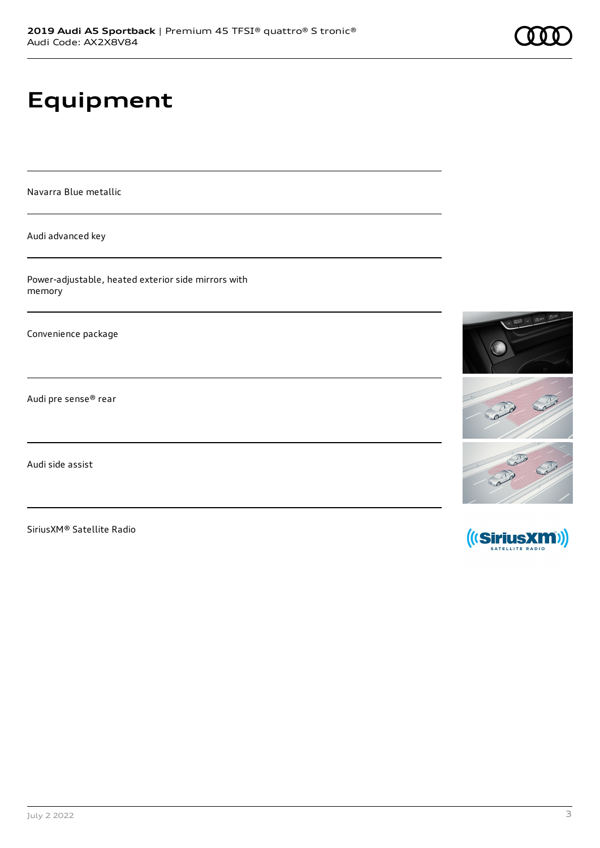## **Equipment**

Navarra Blue metallic

Audi advanced key

Power-adjustable, heated exterior side mirrors with memory

Convenience package

Audi pre sense® rear

Audi side assist

SiriusXM® Satellite Radio



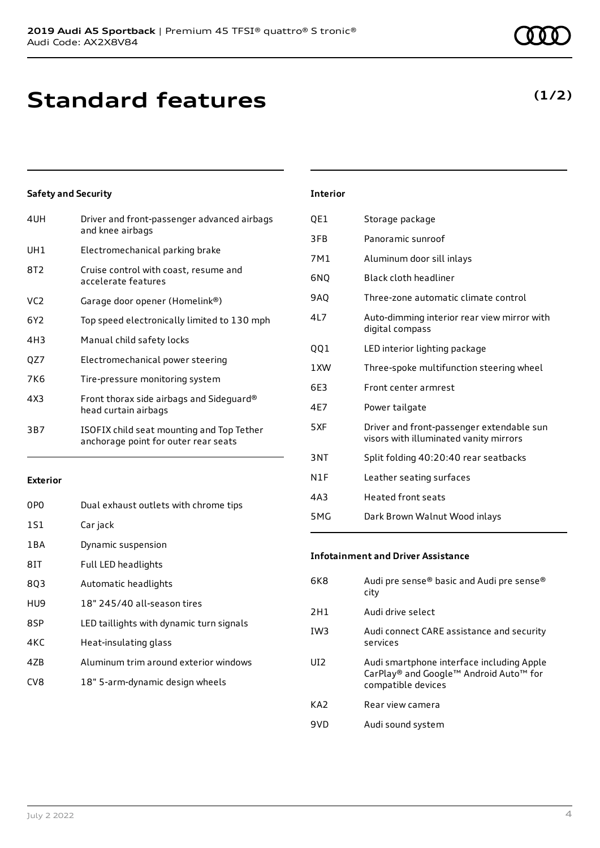### **Standard features**

### **Safety and Security**

| 4UH             | Driver and front-passenger advanced airbags<br>and knee airbags                   |
|-----------------|-----------------------------------------------------------------------------------|
| UH1             | Electromechanical parking brake                                                   |
| 8T2             | Cruise control with coast, resume and<br>accelerate features                      |
| VC <sub>2</sub> | Garage door opener (Homelink®)                                                    |
| 6Y2             | Top speed electronically limited to 130 mph                                       |
| 4H3             | Manual child safety locks                                                         |
| QZ7             | Electromechanical power steering                                                  |
| 7K6             | Tire-pressure monitoring system                                                   |
| 4X3             | Front thorax side airbags and Sideguard®<br>head curtain airbags                  |
| 3B7             | ISOFIX child seat mounting and Top Tether<br>anchorage point for outer rear seats |

### **Exterior**

| 0P <sub>0</sub> | Dual exhaust outlets with chrome tips    |
|-----------------|------------------------------------------|
| 1S1             | Car jack                                 |
| 1 B A           | Dynamic suspension                       |
| 8IT             | Full LED headlights                      |
| 8Q3             | Automatic headlights                     |
| HU <sub>9</sub> | 18" 245/40 all-season tires              |
| 8SP             | LED taillights with dynamic turn signals |
| 4KC             | Heat-insulating glass                    |
| 47 <sub>B</sub> | Aluminum trim around exterior windows    |
| CV <sub>8</sub> | 18" 5-arm-dynamic design wheels          |

### **Interior**

| QE1  | Storage package                                                                     |
|------|-------------------------------------------------------------------------------------|
| 3FB  | Panoramic sunroof                                                                   |
| 7M1  | Aluminum door sill inlays                                                           |
| 6NO  | Black cloth headliner                                                               |
| 9AQ  | Three-zone automatic climate control                                                |
| 417  | Auto-dimming interior rear view mirror with<br>digital compass                      |
| QQ1  | LED interior lighting package                                                       |
| 1 XW | Three-spoke multifunction steering wheel                                            |
| 6E3  | Front center armrest                                                                |
| 4F7  | Power tailgate                                                                      |
| 5XF  | Driver and front-passenger extendable sun<br>visors with illuminated vanity mirrors |
| 3NT  | Split folding 40:20:40 rear seatbacks                                               |
| N1F  | Leather seating surfaces                                                            |
| 4A3  | <b>Heated front seats</b>                                                           |
| 5MG  | Dark Brown Walnut Wood inlays                                                       |

### **Infotainment and Driver Assistance**

| 6K8             | Audi pre sense® basic and Audi pre sense®<br>city                                                         |
|-----------------|-----------------------------------------------------------------------------------------------------------|
| 2H1             | Audi drive select                                                                                         |
| IW <sub>3</sub> | Audi connect CARE assistance and security<br>services                                                     |
| UI <sub>2</sub> | Audi smartphone interface including Apple<br>CarPlay® and Google™ Android Auto™ for<br>compatible devices |
| KA <sub>2</sub> | Rear view camera                                                                                          |
| 9VD             | Audi sound system                                                                                         |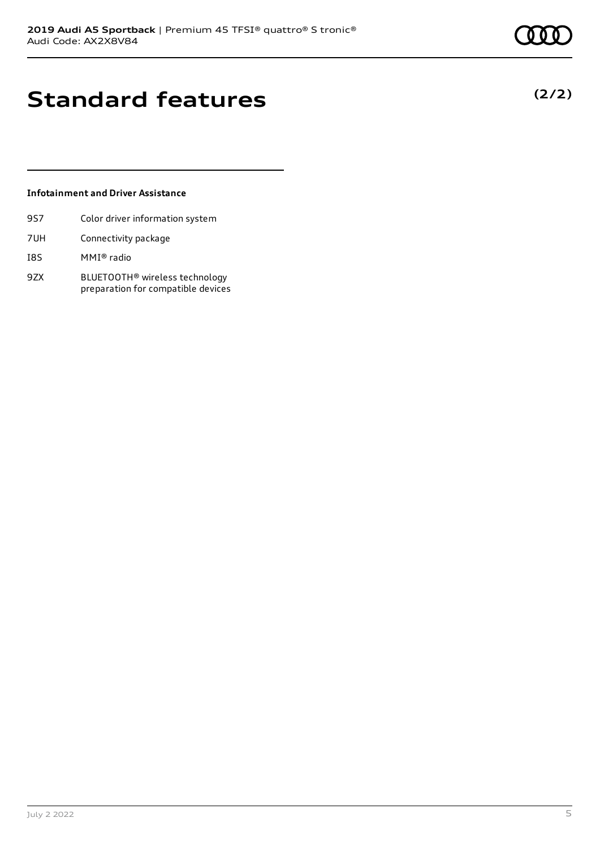**(2/2)**

# **Standard features**

### **Infotainment and Driver Assistance**

- 9S7 Color driver information system
- 7UH Connectivity package
- I8S MMI® radio
- 9ZX BLUETOOTH® wireless technology preparation for compatible devices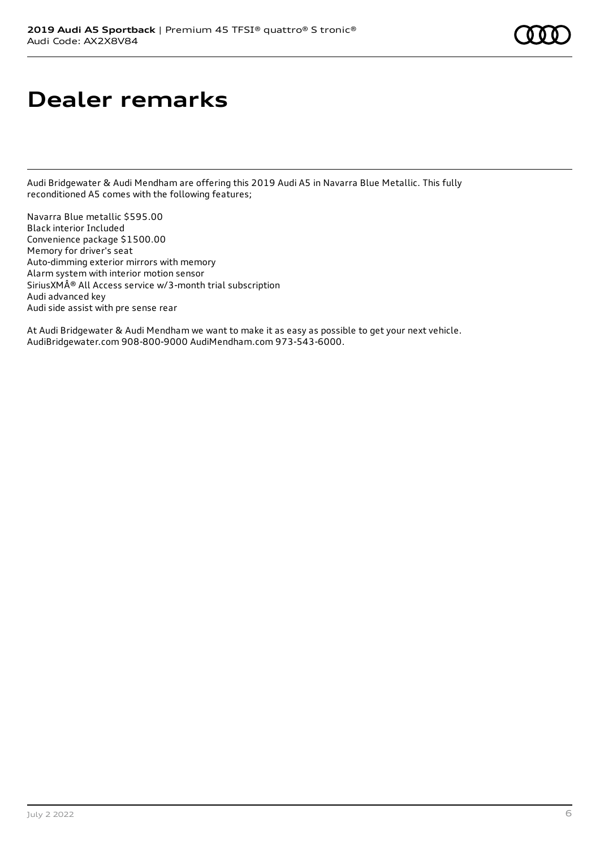### **Dealer remarks**

Audi Bridgewater & Audi Mendham are offering this 2019 Audi A5 in Navarra Blue Metallic. This fully reconditioned A5 comes with the following features;

Navarra Blue metallic \$595.00 Black interior Included Convenience package \$1500.00 Memory for driver's seat Auto-dimming exterior mirrors with memory Alarm system with interior motion sensor SiriusXM® All Access service w/3-month trial subscription Audi advanced key Audi side assist with pre sense rear

At Audi Bridgewater & Audi Mendham we want to make it as easy as possible to get your next vehicle. AudiBridgewater.com 908-800-9000 AudiMendham.com 973-543-6000.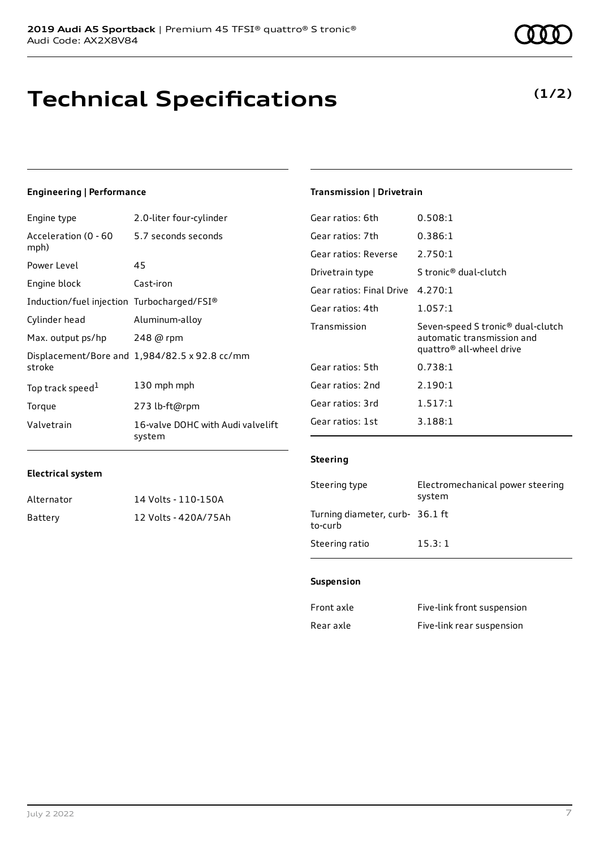## **Technical Specifications**

#### July 2 2022 7

**Engineering | Performance**

| Engine type                                | 2.0-liter four-cylinder                       |
|--------------------------------------------|-----------------------------------------------|
| Acceleration (0 - 60<br>mph)               | 5.7 seconds seconds                           |
| Power Level                                | 45                                            |
| Engine block                               | Cast-iron                                     |
| Induction/fuel injection Turbocharged/FSI® |                                               |
| Cylinder head                              | Aluminum-alloy                                |
| Max. output ps/hp                          | 248 @ rpm                                     |
| stroke                                     | Displacement/Bore and 1,984/82.5 x 92.8 cc/mm |
| Top track speed <sup>1</sup>               | 130 mph mph                                   |
| Torque                                     | 273 lb-ft@rpm                                 |
| Valvetrain                                 | 16-valve DOHC with Audi valvelift<br>system   |

#### **Transmission | Drivetrain**

| Gear ratios: 6th         | 0.508:1                                                                                                             |
|--------------------------|---------------------------------------------------------------------------------------------------------------------|
| Gear ratios: 7th         | 0.386:1                                                                                                             |
| Gear ratios: Reverse     | 2.750:1                                                                                                             |
| Drivetrain type          | S tronic® dual-clutch                                                                                               |
| Gear ratios: Final Drive | 4.270:1                                                                                                             |
| Gear ratios: 4th         | 1.057:1                                                                                                             |
|                          |                                                                                                                     |
| Transmission             | Seven-speed S tronic <sup>®</sup> dual-clutch<br>automatic transmission and<br>quattro <sup>®</sup> all-wheel drive |
| Gear ratios: 5th         | 0.738:1                                                                                                             |
| Gear ratios: 2nd         | 2.190:1                                                                                                             |
| Gear ratios: 3rd         | 1.517:1                                                                                                             |
| Gear ratios: 1st         | 3.188:1                                                                                                             |

#### **Electrical system**

| Alternator | 14 Volts - 110-150A  |
|------------|----------------------|
| Battery    | 12 Volts - 420A/75Ah |

# **Steering**

| Steering type                              | Electromechanical power steering<br>system |
|--------------------------------------------|--------------------------------------------|
| Turning diameter, curb- 36.1 ft<br>to-curb |                                            |
| Steering ratio                             | 15.3:1                                     |

#### **Suspension**

| Front axle | Five-link front suspension |
|------------|----------------------------|
| Rear axle  | Five-link rear suspension  |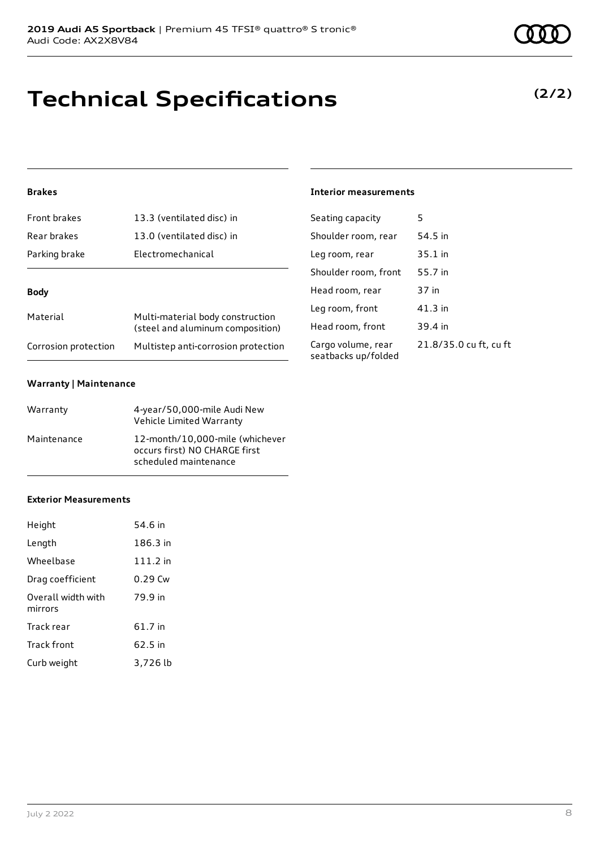## **Technical Specifications**

### **Brakes**

| <b>Front brakes</b>  | 13.3 (ventilated disc) in                                            |  |
|----------------------|----------------------------------------------------------------------|--|
| Rear brakes          | 13.0 (ventilated disc) in                                            |  |
| Parking brake        | Electromechanical                                                    |  |
|                      |                                                                      |  |
| <b>Body</b>          |                                                                      |  |
| Material             | Multi-material body construction<br>(steel and aluminum composition) |  |
| Corrosion protection | Multistep anti-corrosion protection                                  |  |

### **Warranty | Maintenance**

| Warranty    | 4-year/50,000-mile Audi New<br>Vehicle Limited Warranty                                   |
|-------------|-------------------------------------------------------------------------------------------|
| Maintenance | 12-month/10,000-mile (whichever<br>occurs first) NO CHARGE first<br>scheduled maintenance |

### **Exterior Measurements**

| Height                        | 54.6 in   |
|-------------------------------|-----------|
| Length                        | 186.3 in  |
| Wheelbase                     | 111.2 in  |
| Drag coefficient              | $0.29$ Cw |
| Overall width with<br>mirrors | 79.9 in   |
| Track rear                    | 61.7 in   |
| Track front                   | 62.5 in   |
| Curb weight                   | 3,726 lb  |

### **Interior measurements**

| Seating capacity                          | 5                      |
|-------------------------------------------|------------------------|
| Shoulder room, rear                       | 54.5 in                |
| Leg room, rear                            | 35.1 in                |
| Shoulder room, front                      | 55.7 in                |
| Head room, rear                           | 37 in                  |
| Leg room, front                           | $41.3$ in              |
| Head room, front                          | 39.4 in                |
| Cargo volume, rear<br>seatbacks up/folded | 21.8/35.0 cu ft, cu ft |

**(2/2)**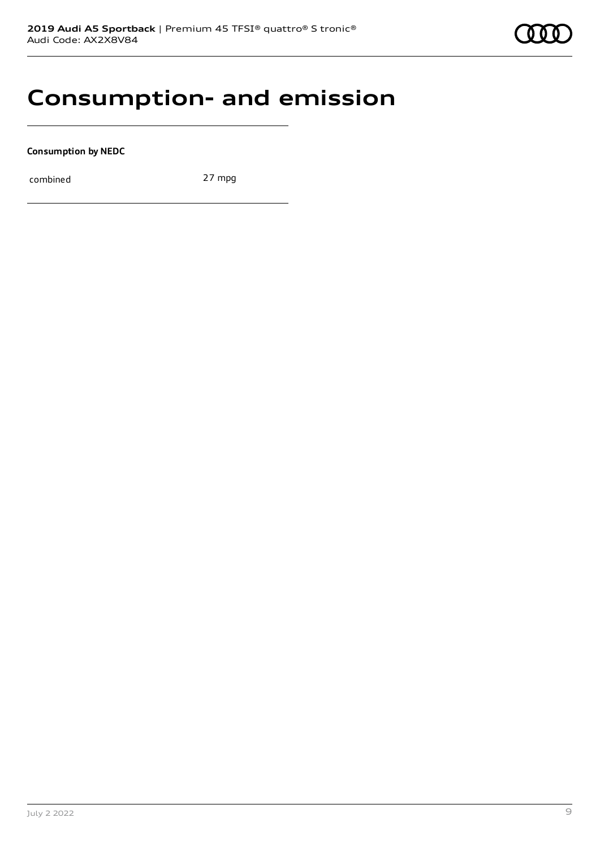### **Consumption- and emission**

**Consumption by NEDC**

combined 27 mpg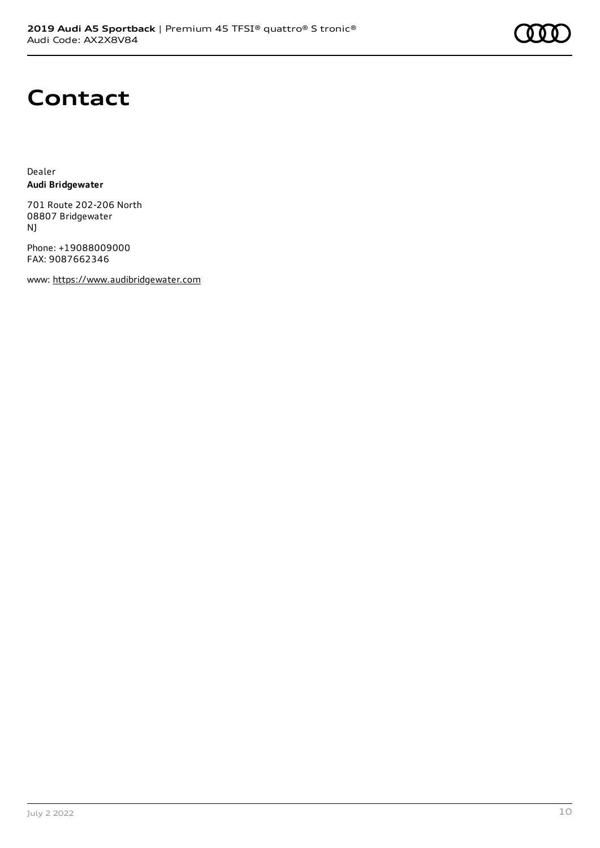

### **Contact**

Dealer **Audi Bridgewater**

701 Route 202-206 North 08807 Bridgewater NJ

Phone: +19088009000 FAX: 9087662346

www: [https://www.audibridgewater.com](https://www.audibridgewater.com/)